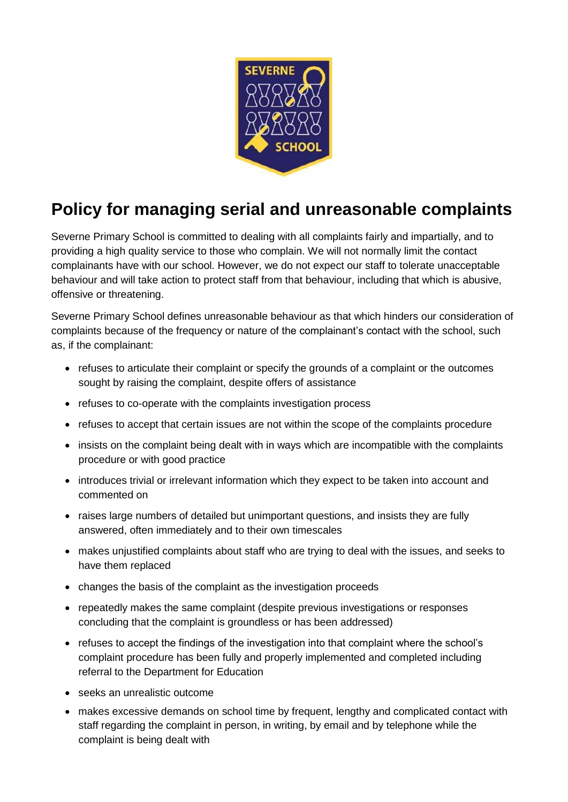

## **Policy for managing serial and unreasonable complaints**

Severne Primary School is committed to dealing with all complaints fairly and impartially, and to providing a high quality service to those who complain. We will not normally limit the contact complainants have with our school. However, we do not expect our staff to tolerate unacceptable behaviour and will take action to protect staff from that behaviour, including that which is abusive, offensive or threatening.

Severne Primary School defines unreasonable behaviour as that which hinders our consideration of complaints because of the frequency or nature of the complainant's contact with the school, such as, if the complainant:

- refuses to articulate their complaint or specify the grounds of a complaint or the outcomes sought by raising the complaint, despite offers of assistance
- refuses to co-operate with the complaints investigation process
- refuses to accept that certain issues are not within the scope of the complaints procedure
- insists on the complaint being dealt with in ways which are incompatible with the complaints procedure or with good practice
- introduces trivial or irrelevant information which they expect to be taken into account and commented on
- raises large numbers of detailed but unimportant questions, and insists they are fully answered, often immediately and to their own timescales
- makes unjustified complaints about staff who are trying to deal with the issues, and seeks to have them replaced
- changes the basis of the complaint as the investigation proceeds
- repeatedly makes the same complaint (despite previous investigations or responses concluding that the complaint is groundless or has been addressed)
- refuses to accept the findings of the investigation into that complaint where the school's complaint procedure has been fully and properly implemented and completed including referral to the Department for Education
- seeks an unrealistic outcome
- makes excessive demands on school time by frequent, lengthy and complicated contact with staff regarding the complaint in person, in writing, by email and by telephone while the complaint is being dealt with